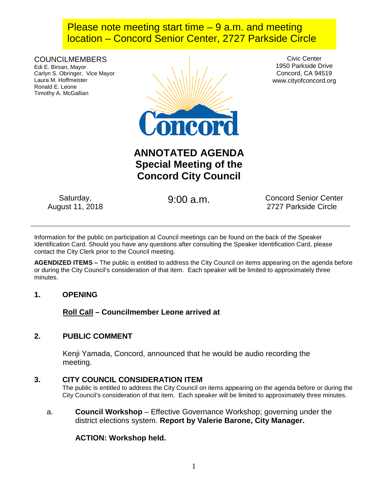## Please note meeting start time  $-9$  a.m. and meeting location – Concord Senior Center, 2727 Parkside Circle

COUNCILMEMBERS Edi E. Birsan, Mayor Carlyn S. Obringer, Vice Mayor Laura M. Hoffmeister Ronald E. Leone Timothy A. McGallian



Civic Center 1950 Parkside Drive Concord, CA 94519 www.cityofconcord.org

# **ANNOTATED AGENDA Special Meeting of the Concord City Council**

Saturday, August 11, 2018

9:00 a.m. Concord Senior Center 2727 Parkside Circle

Information for the public on participation at Council meetings can be found on the back of the Speaker Identification Card. Should you have any questions after consulting the Speaker Identification Card, please contact the City Clerk prior to the Council meeting.

**AGENDIZED ITEMS –** The public is entitled to address the City Council on items appearing on the agenda before or during the City Council's consideration of that item. Each speaker will be limited to approximately three minutes.

## **1. OPENING**

**Roll Call – Councilmember Leone arrived at** 

## **2. PUBLIC COMMENT**

Kenji Yamada, Concord, announced that he would be audio recording the meeting.

## **3. CITY COUNCIL CONSIDERATION ITEM**

The public is entitled to address the City Council on items appearing on the agenda before or during the City Council's consideration of that item. Each speaker will be limited to approximately three minutes.

a. **Council Workshop** – Effective Governance Workshop; governing under the district elections system. **Report by Valerie Barone, City Manager.**

## **ACTION: Workshop held.**